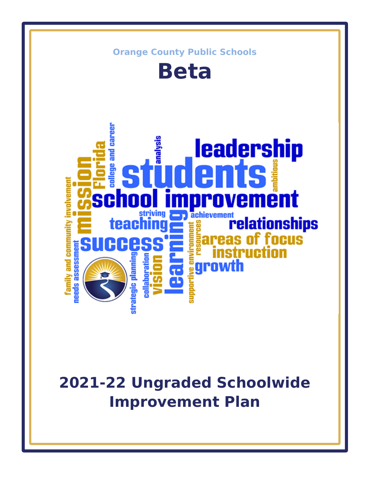

# **2021-22 Ungraded Schoolwide Improvement Plan**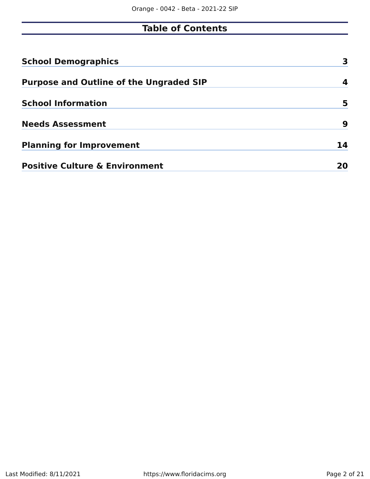# **Table of Contents**

| <b>School Demographics</b>                     |    |
|------------------------------------------------|----|
| <b>Purpose and Outline of the Ungraded SIP</b> | 4  |
| <b>School Information</b>                      | 5  |
| <b>Needs Assessment</b>                        | 9  |
| <b>Planning for Improvement</b>                | 14 |
| <b>Positive Culture &amp; Environment</b>      | 20 |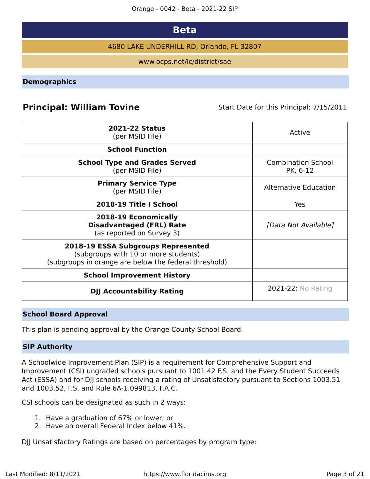Orange - 0042 - Beta - 2021-22 SIP

# **Beta**

4680 LAKE UNDERHILL RD, Orlando, FL 32807

www.ocps.net/lc/district/sae

<span id="page-2-0"></span>**Demographics**

# **Principal: William Tovine** Start Date for this Principal: 7/15/2011

| <b>2021-22 Status</b><br>(per MSID File)                                                                                            | Active                                |
|-------------------------------------------------------------------------------------------------------------------------------------|---------------------------------------|
| <b>School Function</b>                                                                                                              |                                       |
| <b>School Type and Grades Served</b><br>(per MSID File)                                                                             | <b>Combination School</b><br>PK, 6-12 |
| <b>Primary Service Type</b><br>(per MSID File)                                                                                      | Alternative Education                 |
| 2018-19 Title I School                                                                                                              | Yes                                   |
| 2018-19 Economically<br><b>Disadvantaged (FRL) Rate</b><br>(as reported on Survey 3)                                                | [Data Not Available]                  |
| 2018-19 ESSA Subgroups Represented<br>(subgroups with 10 or more students)<br>(subgroups in orange are below the federal threshold) |                                       |
| <b>School Improvement History</b>                                                                                                   |                                       |
| <b>DJJ Accountability Rating</b>                                                                                                    | <b>2021-22: No Rating</b>             |

### **School Board Approval**

This plan is pending approval by the Orange County School Board.

### **SIP Authority**

A Schoolwide Improvement Plan (SIP) is a requirement for Comprehensive Support and Improvement (CSI) ungraded schools pursuant to 1001.42 F.S. and the Every Student Succeeds Act (ESSA) and for DJJ schools receiving a rating of Unsatisfactory pursuant to Sections 1003.51 and 1003.52, F.S. and Rule 6A-1.099813, F.A.C.

CSI schools can be designated as such in 2 ways:

- 1. Have a graduation of 67% or lower; or
- 2. Have an overall Federal Index below 41%.

DJJ Unsatisfactory Ratings are based on percentages by program type: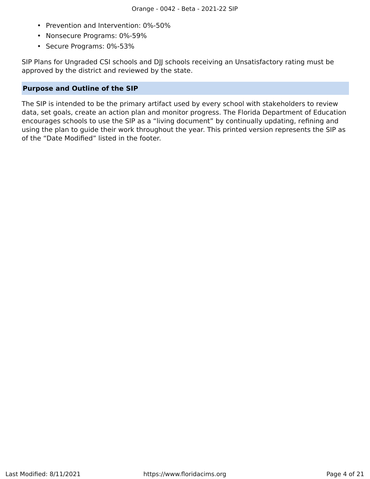- Prevention and Intervention: 0%-50%
- Nonsecure Programs: 0%-59%
- Secure Programs: 0%-53%

SIP Plans for Ungraded CSI schools and DJJ schools receiving an Unsatisfactory rating must be approved by the district and reviewed by the state.

### <span id="page-3-0"></span>**Purpose and Outline of the SIP**

The SIP is intended to be the primary artifact used by every school with stakeholders to review data, set goals, create an action plan and monitor progress. The Florida Department of Education encourages schools to use the SIP as a "living document" by continually updating, refining and using the plan to guide their work throughout the year. This printed version represents the SIP as of the "Date Modified" listed in the footer.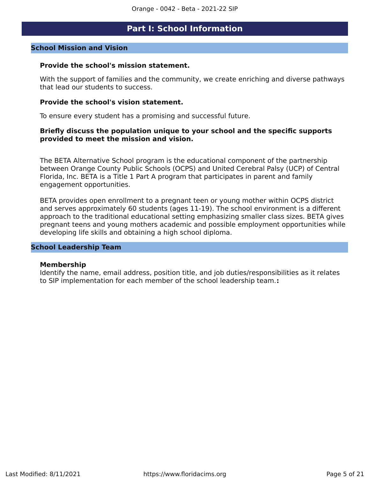# **Part I: School Information**

### <span id="page-4-0"></span>**School Mission and Vision**

### **Provide the school's mission statement.**

With the support of families and the community, we create enriching and diverse pathways that lead our students to success.

### **Provide the school's vision statement.**

To ensure every student has a promising and successful future.

### **Briefly discuss the population unique to your school and the specific supports provided to meet the mission and vision.**

The BETA Alternative School program is the educational component of the partnership between Orange County Public Schools (OCPS) and United Cerebral Palsy (UCP) of Central Florida, Inc. BETA is a Title 1 Part A program that participates in parent and family engagement opportunities.

BETA provides open enrollment to a pregnant teen or young mother within OCPS district and serves approximately 60 students (ages 11-19). The school environment is a different approach to the traditional educational setting emphasizing smaller class sizes. BETA gives pregnant teens and young mothers academic and possible employment opportunities while developing life skills and obtaining a high school diploma.

### **School Leadership Team**

### **Membership**

Identify the name, email address, position title, and job duties/responsibilities as it relates to SIP implementation for each member of the school leadership team.**:**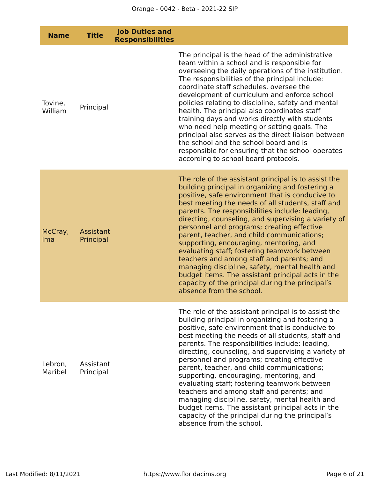| <b>Name</b>        | <b>Title</b>           | <b>Job Duties and</b><br><b>Responsibilities</b> |                                                                                                                                                                                                                                                                                                                                                                                                                                                                                                                                                                                                                                                                                                                                                       |
|--------------------|------------------------|--------------------------------------------------|-------------------------------------------------------------------------------------------------------------------------------------------------------------------------------------------------------------------------------------------------------------------------------------------------------------------------------------------------------------------------------------------------------------------------------------------------------------------------------------------------------------------------------------------------------------------------------------------------------------------------------------------------------------------------------------------------------------------------------------------------------|
| Tovine,<br>William | Principal              |                                                  | The principal is the head of the administrative<br>team within a school and is responsible for<br>overseeing the daily operations of the institution.<br>The responsibilities of the principal include:<br>coordinate staff schedules, oversee the<br>development of curriculum and enforce school<br>policies relating to discipline, safety and mental<br>health. The principal also coordinates staff<br>training days and works directly with students<br>who need help meeting or setting goals. The<br>principal also serves as the direct liaison between<br>the school and the school board and is<br>responsible for ensuring that the school operates<br>according to school board protocols.                                               |
| McCray,<br>Ima     | Assistant<br>Principal |                                                  | The role of the assistant principal is to assist the<br>building principal in organizing and fostering a<br>positive, safe environment that is conducive to<br>best meeting the needs of all students, staff and<br>parents. The responsibilities include: leading,<br>directing, counseling, and supervising a variety of<br>personnel and programs; creating effective<br>parent, teacher, and child communications;<br>supporting, encouraging, mentoring, and<br>evaluating staff; fostering teamwork between<br>teachers and among staff and parents; and<br>managing discipline, safety, mental health and<br>budget items. The assistant principal acts in the<br>capacity of the principal during the principal's<br>absence from the school. |
| Lebron,<br>Maribel | Assistant<br>Principal |                                                  | The role of the assistant principal is to assist the<br>building principal in organizing and fostering a<br>positive, safe environment that is conducive to<br>best meeting the needs of all students, staff and<br>parents. The responsibilities include: leading,<br>directing, counseling, and supervising a variety of<br>personnel and programs; creating effective<br>parent, teacher, and child communications;<br>supporting, encouraging, mentoring, and<br>evaluating staff; fostering teamwork between<br>teachers and among staff and parents; and<br>managing discipline, safety, mental health and<br>budget items. The assistant principal acts in the<br>capacity of the principal during the principal's<br>absence from the school. |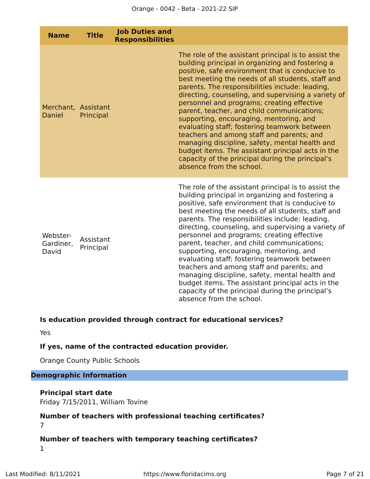| <b>Name</b>                          | <b>Title</b>           | <b>Job Duties and</b><br><b>Responsibilities</b> |                                                                                                                                                                                                                                                                                                                                                                                                                                                                                                                                                                                                                                                                                                                                                       |
|--------------------------------------|------------------------|--------------------------------------------------|-------------------------------------------------------------------------------------------------------------------------------------------------------------------------------------------------------------------------------------------------------------------------------------------------------------------------------------------------------------------------------------------------------------------------------------------------------------------------------------------------------------------------------------------------------------------------------------------------------------------------------------------------------------------------------------------------------------------------------------------------------|
| Merchant, Assistant<br><b>Daniel</b> | Principal              |                                                  | The role of the assistant principal is to assist the<br>building principal in organizing and fostering a<br>positive, safe environment that is conducive to<br>best meeting the needs of all students, staff and<br>parents. The responsibilities include: leading,<br>directing, counseling, and supervising a variety of<br>personnel and programs; creating effective<br>parent, teacher, and child communications;<br>supporting, encouraging, mentoring, and<br>evaluating staff; fostering teamwork between<br>teachers and among staff and parents; and<br>managing discipline, safety, mental health and<br>budget items. The assistant principal acts in the<br>capacity of the principal during the principal's<br>absence from the school. |
| Webster-<br>Gardiner,<br>David       | Assistant<br>Principal |                                                  | The role of the assistant principal is to assist the<br>building principal in organizing and fostering a<br>positive, safe environment that is conducive to<br>best meeting the needs of all students, staff and<br>parents. The responsibilities include: leading,<br>directing, counseling, and supervising a variety of<br>personnel and programs; creating effective<br>parent, teacher, and child communications;<br>supporting, encouraging, mentoring, and<br>evaluating staff; fostering teamwork between<br>teachers and among staff and parents; and<br>managing discipline, safety, mental health and<br>budget items. The assistant principal acts in the<br>capacity of the principal during the principal's<br>absence from the school. |

# **Is education provided through contract for educational services?**

Yes

# **If yes, name of the contracted education provider.**

Orange County Public Schools

# **Demographic Information**

### **Principal start date**

Friday 7/15/2011, William Tovine

# **Number of teachers with professional teaching certificates?** 7

# **Number of teachers with temporary teaching certificates?** 1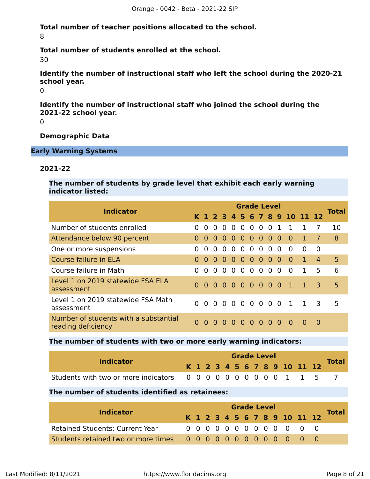**Total number of teacher positions allocated to the school.** 8

**Total number of students enrolled at the school.**

30

**Identify the number of instructional staff who left the school during the 2020-21 school year.**

 $\Omega$ 

**Identify the number of instructional staff who joined the school during the 2021-22 school year.**

 $\Omega$ 

### **Demographic Data**

**Early Warning Systems**

### **2021-22**

**The number of students by grade level that exhibit each early warning indicator listed:**

| <b>Indicator</b>                                            | <b>Grade Level</b> |          |                |          |                |               |                |                |                |                | <b>Total</b>                 |              |                         |    |
|-------------------------------------------------------------|--------------------|----------|----------------|----------|----------------|---------------|----------------|----------------|----------------|----------------|------------------------------|--------------|-------------------------|----|
|                                                             |                    |          |                |          |                |               |                |                |                |                | K 1 2 3 4 5 6 7 8 9 10 11 12 |              |                         |    |
| Number of students enrolled                                 | $\Omega$           | $\Omega$ | $\Omega$       | $\Omega$ | $\Omega$       | $\Omega$      | 0 <sub>0</sub> |                | $\overline{0}$ | $\mathbf{1}$   | $\mathbf{1}$                 |              | 7                       | 10 |
| Attendance below 90 percent                                 |                    | $\Omega$ | $\overline{0}$ |          |                | 0 0 0 0 0 0 0 |                |                |                |                | $\bullet$                    |              | $\overline{7}$          | 8  |
| One or more suspensions                                     | 0                  | $\Omega$ | $\Omega$       | $\Omega$ | $\Omega$       | $\Omega$      | $\overline{0}$ | $\overline{0}$ | $\Omega$       | 0              | $\Omega$                     | $\Omega$     | $\Omega$                |    |
| Course failure in ELA                                       |                    | $\Omega$ | $\Omega$       | $\Omega$ | $\Omega$       | $\bullet$     | $\overline{0}$ | $\bullet$      | $\Omega$       | -0             | $\Omega$                     | $\mathbf{1}$ | $\overline{4}$          | 5  |
| Course failure in Math                                      | 0                  | $\Omega$ | $\Omega$       | $\Omega$ | $\Omega$       | $\Omega$      | $\Omega$       | $\Omega$       | $\Omega$       | $\Omega$       | $\Omega$                     |              | 5                       | 6  |
| Level 1 on 2019 statewide FSA ELA<br>assessment             | 0                  | $\Omega$ | $\Omega$       | $\Omega$ | $\overline{0}$ | $0000$        |                |                |                | $\overline{0}$ | $\mathbf{1}$                 |              | $\overline{\mathbf{3}}$ | 5  |
| Level 1 on 2019 statewide FSA Math<br>assessment            | <sup>n</sup>       | $\Omega$ | $\Omega$       |          |                |               |                |                |                |                | 00000001                     | $\mathbf{1}$ | - 3                     | 5  |
| Number of students with a substantial<br>reading deficiency | 0                  | $\Omega$ | 0              | $\Omega$ | $\Omega$       | $\Omega$      | $0\quad 0$     |                | $\Omega$       | $\Omega$       | $\Omega$                     | $\Omega$     | 0                       |    |

### **The number of students with two or more early warning indicators:**

| <b>Indicator</b>                                       |  | <b>Grade Level</b> |  |  |  |  |  |  |  |  |  |                              |  |              |
|--------------------------------------------------------|--|--------------------|--|--|--|--|--|--|--|--|--|------------------------------|--|--------------|
|                                                        |  |                    |  |  |  |  |  |  |  |  |  | K 1 2 3 4 5 6 7 8 9 10 11 12 |  | <b>Total</b> |
| Students with two or more indicators 0000000000001 1 5 |  |                    |  |  |  |  |  |  |  |  |  |                              |  |              |

### **The number of students identified as retainees:**

|                                        | <b>Grade Level</b> |  |  |  |  |  |  |  |  |  |  |                              |  |              |
|----------------------------------------|--------------------|--|--|--|--|--|--|--|--|--|--|------------------------------|--|--------------|
| <b>Indicator</b>                       |                    |  |  |  |  |  |  |  |  |  |  | K 1 2 3 4 5 6 7 8 9 10 11 12 |  | <b>Total</b> |
| <b>Retained Students: Current Year</b> |                    |  |  |  |  |  |  |  |  |  |  | 0 0 0 0 0 0 0 0 0 0 0 0 0    |  |              |
|                                        |                    |  |  |  |  |  |  |  |  |  |  |                              |  |              |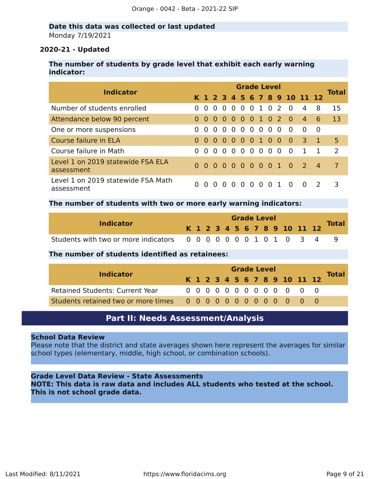### **Date this data was collected or last updated** Monday 7/19/2021

### **2020-21 - Updated**

### **The number of students by grade level that exhibit each early warning indicator:**

| <b>Indicator</b>                                 | <b>Grade Level</b> |          |          |                   |          |               |                          |  |          |     |                              |                |                | <b>Total</b> |
|--------------------------------------------------|--------------------|----------|----------|-------------------|----------|---------------|--------------------------|--|----------|-----|------------------------------|----------------|----------------|--------------|
|                                                  |                    |          |          |                   |          |               |                          |  |          |     | K 1 2 3 4 5 6 7 8 9 10 11 12 |                |                |              |
| Number of students enrolled                      | $\Omega$           | $\Omega$ | $\Omega$ | $\Omega$          | $\Omega$ | 0 0 1 0 2     |                          |  |          |     | - 0                          | 4              | 8              | 15           |
| Attendance below 90 percent                      | $\Omega$           |          |          | $0\quad 0\quad 0$ |          | 0 0 0 1 0 2 0 |                          |  |          |     |                              | $\overline{4}$ | 6              | 13           |
| One or more suspensions                          | 0                  | $\Omega$ | $\Omega$ | $\overline{0}$    | $\Omega$ | 00000         |                          |  |          |     | - 0                          | $\Omega$       | - 0            |              |
| Course failure in ELA                            | $\Omega$           | $\Omega$ |          |                   |          | 00000100      |                          |  |          |     | $\overline{0}$               | $\overline{3}$ |                | 5            |
| Course failure in Math                           | $\Omega$           | $\Omega$ | $\Omega$ | $\overline{0}$    | $\Omega$ |               | $0\quad 0\quad 0\quad 0$ |  |          | - 0 | - 0                          | $\mathbf{1}$   |                | 2            |
| Level 1 on 2019 statewide FSA ELA<br>assessment  |                    |          |          |                   |          |               |                          |  |          |     | 000000000102                 |                | $\overline{4}$ | $\mathbf{7}$ |
| Level 1 on 2019 statewide FSA Math<br>assessment | $\Omega$           | $\Omega$ | $\Omega$ | $\Omega$          | $\Omega$ | $\Omega$      | 0 <sub>0</sub>           |  | $\Omega$ |     | $\Omega$                     | $\Omega$       | $\mathcal{L}$  | 3            |

### **The number of students with two or more early warning indicators:**

|                                                                |  |  |  |  | <b>Grade Level</b> |                              |  |              |
|----------------------------------------------------------------|--|--|--|--|--------------------|------------------------------|--|--------------|
| <b>Indicator</b>                                               |  |  |  |  |                    | K 1 2 3 4 5 6 7 8 9 10 11 12 |  | <b>Total</b> |
| Students with two or more indicators 0 0 0 0 0 0 0 1 0 1 0 3 4 |  |  |  |  |                    |                              |  |              |

#### **The number of students identified as retainees:**

|                                        |  |  | <b>Grade Level</b> |  |  |  |  |  |  |  |  |                              |  |              |
|----------------------------------------|--|--|--------------------|--|--|--|--|--|--|--|--|------------------------------|--|--------------|
| <b>Indicator</b>                       |  |  |                    |  |  |  |  |  |  |  |  | K 1 2 3 4 5 6 7 8 9 10 11 12 |  | <b>Total</b> |
| <b>Retained Students: Current Year</b> |  |  |                    |  |  |  |  |  |  |  |  | 0 0 0 0 0 0 0 0 0 0 0 0 0    |  |              |
|                                        |  |  |                    |  |  |  |  |  |  |  |  |                              |  |              |

# **Part II: Needs Assessment/Analysis**

#### <span id="page-8-0"></span>**School Data Review**

Please note that the district and state averages shown here represent the averages for similar school types (elementary, middle, high school, or combination schools).

### **Grade Level Data Review - State Assessments**

**NOTE: This data is raw data and includes ALL students who tested at the school. This is not school grade data.**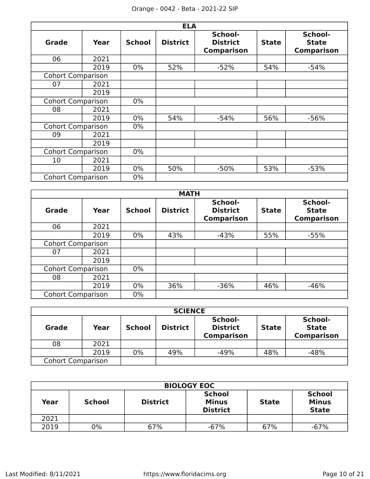|                          |      |               | <b>ELA</b>      |                                                 |              |                                              |
|--------------------------|------|---------------|-----------------|-------------------------------------------------|--------------|----------------------------------------------|
| <b>Grade</b>             | Year | <b>School</b> | <b>District</b> | School-<br><b>District</b><br><b>Comparison</b> | <b>State</b> | School-<br><b>State</b><br><b>Comparison</b> |
| 06                       | 2021 |               |                 |                                                 |              |                                              |
|                          | 2019 | $0\%$         | 52%             | $-52%$                                          | 54%          | $-54%$                                       |
| <b>Cohort Comparison</b> |      |               |                 |                                                 |              |                                              |
| 07                       | 2021 |               |                 |                                                 |              |                                              |
|                          | 2019 |               |                 |                                                 |              |                                              |
| <b>Cohort Comparison</b> |      | $0\%$         |                 |                                                 |              |                                              |
| 08                       | 2021 |               |                 |                                                 |              |                                              |
|                          | 2019 | $0\%$         | 54%             | $-54%$                                          | 56%          | $-56%$                                       |
| <b>Cohort Comparison</b> |      | $0\%$         |                 |                                                 |              |                                              |
| 09                       | 2021 |               |                 |                                                 |              |                                              |
|                          | 2019 |               |                 |                                                 |              |                                              |
| <b>Cohort Comparison</b> |      | $0\%$         |                 |                                                 |              |                                              |
| 10                       | 2021 |               |                 |                                                 |              |                                              |
|                          | 2019 | $0\%$         | 50%             | $-50%$                                          | 53%          | $-53%$                                       |
| <b>Cohort Comparison</b> |      | $0\%$         |                 |                                                 |              |                                              |

|                          | <b>MATH</b> |               |                 |                                                 |              |                                              |  |  |  |  |  |  |  |  |
|--------------------------|-------------|---------------|-----------------|-------------------------------------------------|--------------|----------------------------------------------|--|--|--|--|--|--|--|--|
| <b>Grade</b>             | Year        | <b>School</b> | <b>District</b> | School-<br><b>District</b><br><b>Comparison</b> | <b>State</b> | School-<br><b>State</b><br><b>Comparison</b> |  |  |  |  |  |  |  |  |
| 06                       | 2021        |               |                 |                                                 |              |                                              |  |  |  |  |  |  |  |  |
|                          | 2019        | $0\%$         | 43%             | $-43%$                                          | 55%          | $-55%$                                       |  |  |  |  |  |  |  |  |
| <b>Cohort Comparison</b> |             |               |                 |                                                 |              |                                              |  |  |  |  |  |  |  |  |
| 07                       | 2021        |               |                 |                                                 |              |                                              |  |  |  |  |  |  |  |  |
|                          | 2019        |               |                 |                                                 |              |                                              |  |  |  |  |  |  |  |  |
| <b>Cohort Comparison</b> |             | $0\%$         |                 |                                                 |              |                                              |  |  |  |  |  |  |  |  |
| 08                       | 2021        |               |                 |                                                 |              |                                              |  |  |  |  |  |  |  |  |
|                          | 2019        | $0\%$         | 36%             | $-36%$                                          | 46%          | $-46%$                                       |  |  |  |  |  |  |  |  |
| <b>Cohort Comparison</b> |             | $0\%$         |                 |                                                 |              |                                              |  |  |  |  |  |  |  |  |

| <b>SCIENCE</b>           |      |               |                 |                                                 |              |                                              |
|--------------------------|------|---------------|-----------------|-------------------------------------------------|--------------|----------------------------------------------|
| <b>Grade</b>             | Year | <b>School</b> | <b>District</b> | School-<br><b>District</b><br><b>Comparison</b> | <b>State</b> | School-<br><b>State</b><br><b>Comparison</b> |
| 08                       | 2021 |               |                 |                                                 |              |                                              |
|                          | 2019 | 0%            | 49%             | $-49%$                                          | 48%          | $-48%$                                       |
| <b>Cohort Comparison</b> |      |               |                 |                                                 |              |                                              |

| <b>BIOLOGY EOC</b> |                                  |     |                                                                  |     |                                               |  |
|--------------------|----------------------------------|-----|------------------------------------------------------------------|-----|-----------------------------------------------|--|
| Year               | <b>District</b><br><b>School</b> |     | <b>School</b><br><b>Minus</b><br><b>State</b><br><b>District</b> |     | <b>School</b><br><b>Minus</b><br><b>State</b> |  |
| 2021               |                                  |     |                                                                  |     |                                               |  |
| 2019               | 0%                               | 67% | $-67%$                                                           | 67% | -67%                                          |  |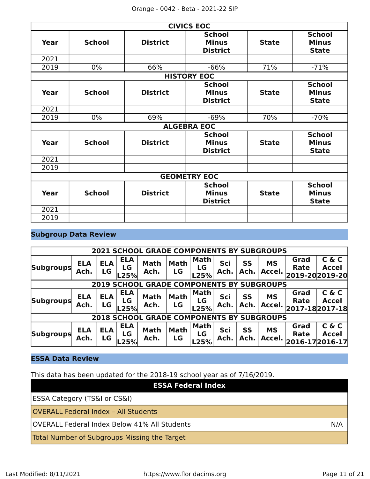|             | <b>CIVICS EOC</b>   |                 |                                                  |              |                                               |  |
|-------------|---------------------|-----------------|--------------------------------------------------|--------------|-----------------------------------------------|--|
| Year        | <b>School</b>       | <b>District</b> | <b>School</b><br><b>Minus</b><br><b>District</b> | <b>State</b> | <b>School</b><br><b>Minus</b><br><b>State</b> |  |
| 2021        |                     |                 |                                                  |              |                                               |  |
| 2019        | $0\%$               | 66%             | $-66%$                                           | 71%          | $-71%$                                        |  |
|             |                     |                 | <b>HISTORY EOC</b>                               |              |                                               |  |
| Year        | <b>School</b>       | <b>District</b> | <b>School</b><br><b>Minus</b><br><b>District</b> | <b>State</b> | <b>School</b><br><b>Minus</b><br><b>State</b> |  |
| 2021        |                     |                 |                                                  |              |                                               |  |
| 2019        | 0%                  | 69%             | $-69%$                                           | 70%          | $-70%$                                        |  |
|             |                     |                 | <b>ALGEBRA EOC</b>                               |              |                                               |  |
| <b>Year</b> | <b>School</b>       | <b>District</b> | <b>School</b><br><b>Minus</b><br><b>District</b> | <b>State</b> | <b>School</b><br><b>Minus</b><br><b>State</b> |  |
| 2021        |                     |                 |                                                  |              |                                               |  |
| 2019        |                     |                 |                                                  |              |                                               |  |
|             | <b>GEOMETRY EOC</b> |                 |                                                  |              |                                               |  |
| Year        | <b>School</b>       | <b>District</b> | <b>School</b><br><b>Minus</b><br><b>District</b> | <b>State</b> | <b>School</b><br><b>Minus</b><br><b>State</b> |  |
| 2021        |                     |                 |                                                  |              |                                               |  |
| 2019        |                     |                 |                                                  |              |                                               |  |

# **Subgroup Data Review**

| <b>2021 SCHOOL GRADE COMPONENTS BY SUBGROUPS</b> |                    |                  |                                 |                     |                          |                                  |             |                   |                     |                                               |                       |
|--------------------------------------------------|--------------------|------------------|---------------------------------|---------------------|--------------------------|----------------------------------|-------------|-------------------|---------------------|-----------------------------------------------|-----------------------|
| <b>Subgroups</b>                                 | <b>ELA</b><br>Ach. | <b>ELA</b><br>LG | <b>ELA</b><br>LG<br><b>L25%</b> | <b>Math</b><br>Ach. | <b>Math</b><br><b>LG</b> | <b>Math</b><br>LG<br>L25%        | Sci<br>Ach. | <b>SS</b><br>Ach. | <b>MS</b><br>Accel. | Grad<br>Rate<br>2019-20 2019-20               | C & C<br><b>Accel</b> |
| <b>2019 SCHOOL GRADE COMPONENTS BY SUBGROUPS</b> |                    |                  |                                 |                     |                          |                                  |             |                   |                     |                                               |                       |
| <b>Subgroups</b>                                 | <b>ELA</b><br>Ach. | <b>ELA</b><br>LG | <b>ELA</b><br>LG<br>'L25%       | <b>Math</b><br>Ach. | <b>Math</b><br>LG        | <b>Math</b><br>LG<br>L25%        | Sci<br>Ach. | SS<br>Ach.        | <b>MS</b>           | Grad<br><b>Rate</b><br>Accel. 2017-18 2017-18 | C & C<br><b>Accel</b> |
| <b>2018 SCHOOL GRADE COMPONENTS BY SUBGROUPS</b> |                    |                  |                                 |                     |                          |                                  |             |                   |                     |                                               |                       |
| <b>Subgroups</b>                                 | <b>ELA</b><br>Ach. | <b>ELA</b><br>LG | <b>ELA</b><br>LG<br>-25%        | <b>Math</b><br>Ach. | <b>Math</b><br><b>LG</b> | <b>Math</b><br><b>LG</b><br>L25% | Sci<br>Ach. | <b>SS</b><br>Ach. | <b>MS</b><br>Accel. | Grad<br>Rate<br>$ 2016-17 2016-17 $           | C & C<br><b>Accel</b> |

# **ESSA Data Review**

This data has been updated for the 2018-19 school year as of 7/16/2019.

| <b>ESSA Federal Index</b>                    |  |
|----------------------------------------------|--|
| <b>ESSA Category (TS&amp;I or CS&amp;I)</b>  |  |
| <b>OVERALL Federal Index - All Students</b>  |  |
| OVERALL Federal Index Below 41% All Students |  |
| Total Number of Subgroups Missing the Target |  |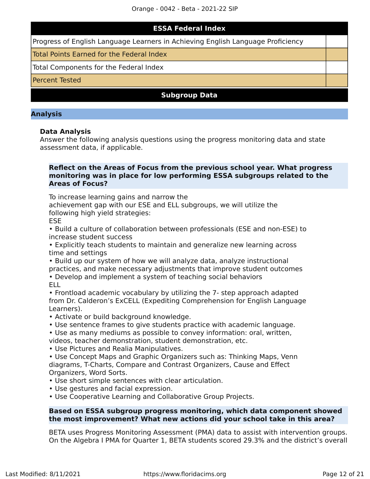# **ESSA Federal Index**

Progress of English Language Learners in Achieving English Language Proficiency

Total Points Earned for the Federal Index

Total Components for the Federal Index

Percent Tested

**Subgroup Data**

#### **Analysis**

### **Data Analysis**

Answer the following analysis questions using the progress monitoring data and state assessment data, if applicable.

### **Reflect on the Areas of Focus from the previous school year. What progress monitoring was in place for low performing ESSA subgroups related to the Areas of Focus?**

To increase learning gains and narrow the

achievement gap with our ESE and ELL subgroups, we will utilize the following high yield strategies:

**FSF** 

• Build a culture of collaboration between professionals (ESE and non-ESE) to increase student success

• Explicitly teach students to maintain and generalize new learning across time and settings

• Build up our system of how we will analyze data, analyze instructional practices, and make necessary adjustments that improve student outcomes

• Develop and implement a system of teaching social behaviors ELL

• Frontload academic vocabulary by utilizing the 7- step approach adapted from Dr. Calderon's ExCELL (Expediting Comprehension for English Language Learners).

- Activate or build background knowledge.
- Use sentence frames to give students practice with academic language.
- Use as many mediums as possible to convey information: oral, written, videos, teacher demonstration, student demonstration, etc.
- Use Pictures and Realia Manipulatives.

• Use Concept Maps and Graphic Organizers such as: Thinking Maps, Venn diagrams, T-Charts, Compare and Contrast Organizers, Cause and Effect Organizers, Word Sorts.

- Use short simple sentences with clear articulation.
- Use gestures and facial expression.
- Use Cooperative Learning and Collaborative Group Projects.

### **Based on ESSA subgroup progress monitoring, which data component showed the most improvement? What new actions did your school take in this area?**

BETA uses Progress Monitoring Assessment (PMA) data to assist with intervention groups. On the Algebra I PMA for Quarter 1, BETA students scored 29.3% and the district's overall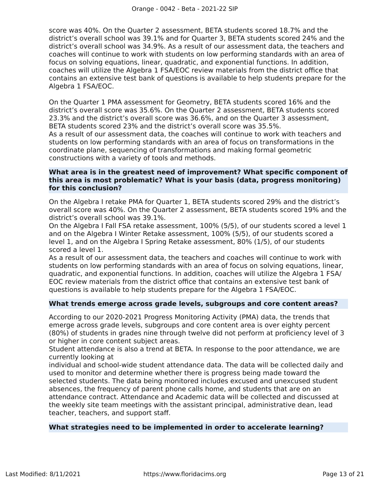score was 40%. On the Quarter 2 assessment, BETA students scored 18.7% and the district's overall school was 39.1% and for Quarter 3, BETA students scored 24% and the district's overall school was 34.9%. As a result of our assessment data, the teachers and coaches will continue to work with students on low performing standards with an area of focus on solving equations, linear, quadratic, and exponential functions. In addition, coaches will utilize the Algebra 1 FSA/EOC review materials from the district office that contains an extensive test bank of questions is available to help students prepare for the Algebra 1 FSA/EOC.

On the Quarter 1 PMA assessment for Geometry, BETA students scored 16% and the district's overall score was 35.6%. On the Quarter 2 assessment, BETA students scored 23.3% and the district's overall score was 36.6%, and on the Quarter 3 assessment, BETA students scored 23% and the district's overall score was 35.5%.

As a result of our assessment data, the coaches will continue to work with teachers and students on low performing standards with an area of focus on transformations in the coordinate plane, sequencing of transformations and making formal geometric constructions with a variety of tools and methods.

### **What area is in the greatest need of improvement? What specific component of this area is most problematic? What is your basis (data, progress monitoring) for this conclusion?**

On the Algebra I retake PMA for Quarter 1, BETA students scored 29% and the district's overall score was 40%. On the Quarter 2 assessment, BETA students scored 19% and the district's overall school was 39.1%.

On the Algebra I Fall FSA retake assessment, 100% (5/5), of our students scored a level 1 and on the Algebra I Winter Retake assessment, 100% (5/5), of our students scored a level 1, and on the Algebra I Spring Retake assessment, 80% (1/5), of our students scored a level 1.

As a result of our assessment data, the teachers and coaches will continue to work with students on low performing standards with an area of focus on solving equations, linear, quadratic, and exponential functions. In addition, coaches will utilize the Algebra 1 FSA/ EOC review materials from the district office that contains an extensive test bank of questions is available to help students prepare for the Algebra 1 FSA/EOC.

### **What trends emerge across grade levels, subgroups and core content areas?**

According to our 2020-2021 Progress Monitoring Activity (PMA) data, the trends that emerge across grade levels, subgroups and core content area is over eighty percent (80%) of students in grades nine through twelve did not perform at proficiency level of 3 or higher in core content subject areas.

Student attendance is also a trend at BETA. In response to the poor attendance, we are currently looking at

individual and school-wide student attendance data. The data will be collected daily and used to monitor and determine whether there is progress being made toward the selected students. The data being monitored includes excused and unexcused student absences, the frequency of parent phone calls home, and students that are on an attendance contract. Attendance and Academic data will be collected and discussed at the weekly site team meetings with the assistant principal, administrative dean, lead teacher, teachers, and support staff.

### **What strategies need to be implemented in order to accelerate learning?**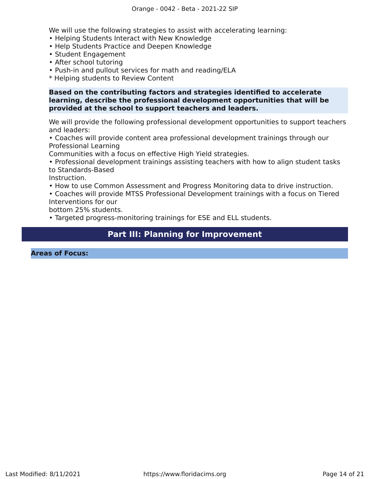We will use the following strategies to assist with accelerating learning:

- Helping Students Interact with New Knowledge
- Help Students Practice and Deepen Knowledge
- Student Engagement
- After school tutoring
- Push-in and pullout services for math and reading/ELA
- \* Helping students to Review Content

### **Based on the contributing factors and strategies identified to accelerate learning, describe the professional development opportunities that will be provided at the school to support teachers and leaders.**

We will provide the following professional development opportunities to support teachers and leaders:

• Coaches will provide content area professional development trainings through our Professional Learning

Communities with a focus on effective High Yield strategies.

• Professional development trainings assisting teachers with how to align student tasks to Standards-Based

Instruction.

- How to use Common Assessment and Progress Monitoring data to drive instruction.
- Coaches will provide MTSS Professional Development trainings with a focus on Tiered Interventions for our

bottom 25% students.

• Targeted progress-monitoring trainings for ESE and ELL students.

# **Part III: Planning for Improvement**

<span id="page-13-0"></span>**Areas of Focus:**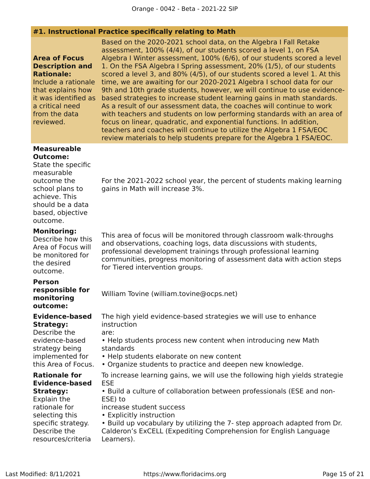### **#1. Instructional Practice specifically relating to Math**

### **Area of Focus Description and Rationale:**

Include a rationale that explains how a critical need from the data reviewed.

it was identified as based strategies to increase student learning gains in math standards. Based on the 2020-2021 school data, on the Algebra I Fall Retake assessment, 100% (4/4), of our students scored a level 1, on FSA Algebra I Winter assessment, 100% (6/6), of our students scored a level 1. On the FSA Algebra I Spring assessment, 20% (1/5), of our students scored a level 3, and 80% (4/5), of our students scored a level 1. At this time, we are awaiting for our 2020-2021 Algebra I school data for our 9th and 10th grade students, however, we will continue to use evidence-As a result of our assessment data, the coaches will continue to work with teachers and students on low performing standards with an area of focus on linear, quadratic, and exponential functions. In addition, teachers and coaches will continue to utilize the Algebra 1 FSA/EOC review materials to help students prepare for the Algebra 1 FSA/EOC.

#### **Measureable Outcome:**

State the specific measurable outcome the school plans to achieve. This should be a data based, objective outcome.

**Monitoring:**

Describe how this Area of Focus will be monitored for the desired outcome.

**Person responsible for monitoring outcome:**

**Evidence-based Strategy:**

Describe the evidence-based strategy being implemented for this Area of Focus.

**Rationale for Evidence-based Strategy:**

Explain the rationale for selecting this specific strategy. Describe the resources/criteria For the 2021-2022 school year, the percent of students making learning gains in Math will increase 3%.

This area of focus will be monitored through classroom walk-throughs and observations, coaching logs, data discussions with students, professional development trainings through professional learning communities, progress monitoring of assessment data with action steps for Tiered intervention groups.

William Tovine (william.tovine@ocps.net)

The high yield evidence-based strategies we will use to enhance instruction are:

• Help students process new content when introducing new Math standards

- Help students elaborate on new content
- Organize students to practice and deepen new knowledge.

To increase learning gains, we will use the following high yields strategie ESE

• Build a culture of collaboration between professionals (ESE and non-ESE) to

increase student success

• Explicitly instruction

• Build up vocabulary by utilizing the 7- step approach adapted from Dr. Calderon's ExCELL (Expediting Comprehension for English Language Learners).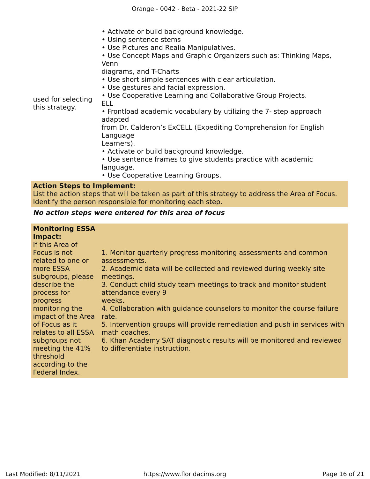- Activate or build background knowledge.
- Using sentence stems
- Use Pictures and Realia Manipulatives.

• Use Concept Maps and Graphic Organizers such as: Thinking Maps, Venn

diagrams, and T-Charts

- Use short simple sentences with clear articulation.
- Use gestures and facial expression.

used for selecting this strategy.

- Use Cooperative Learning and Collaborative Group Projects. ELL
- Frontload academic vocabulary by utilizing the 7- step approach adapted

from Dr. Calderon's ExCELL (Expediting Comprehension for English Language

Learners).

- Activate or build background knowledge.
- Use sentence frames to give students practice with academic language.
- Use Cooperative Learning Groups.

### **Action Steps to Implement:**

List the action steps that will be taken as part of this strategy to address the Area of Focus. Identify the person responsible for monitoring each step.

### **No action steps were entered for this area of focus**

| <b>Monitoring ESSA</b><br>Impact:<br>If this Area of |                                                                                                        |
|------------------------------------------------------|--------------------------------------------------------------------------------------------------------|
| Focus is not                                         | 1. Monitor quarterly progress monitoring assessments and common                                        |
| related to one or                                    | assessments.                                                                                           |
| more ESSA                                            | 2. Academic data will be collected and reviewed during weekly site                                     |
| subgroups, please                                    | meetings.                                                                                              |
| describe the                                         | 3. Conduct child study team meetings to track and monitor student                                      |
| process for                                          | attendance every 9                                                                                     |
| progress                                             | weeks.                                                                                                 |
| monitoring the                                       | 4. Collaboration with guidance counselors to monitor the course failure                                |
| impact of the Area                                   | rate.                                                                                                  |
| of Focus as it                                       | 5. Intervention groups will provide remediation and push in services with                              |
| relates to all ESSA                                  | math coaches.                                                                                          |
| subgroups not<br>meeting the 41%<br>threshold        | 6. Khan Academy SAT diagnostic results will be monitored and reviewed<br>to differentiate instruction. |
| according to the<br>Federal Index.                   |                                                                                                        |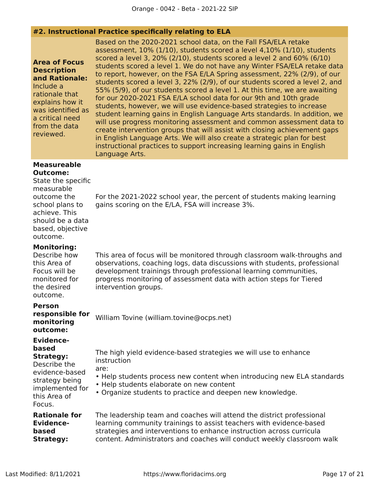### **#2. Instructional Practice specifically relating to ELA**

**Area of Focus Description and Rationale:** Include a rationale that explains how it was identified as a critical need from the data reviewed.

Based on the 2020-2021 school data, on the Fall FSA/ELA retake assessment, 10% (1/10), students scored a level 4,10% (1/10), students scored a level 3, 20% (2/10), students scored a level 2 and 60% (6/10) students scored a level 1. We do not have any Winter FSA/ELA retake data to report, however, on the FSA E/LA Spring assessment, 22% (2/9), of our students scored a level 3, 22% (2/9), of our students scored a level 2, and 55% (5/9), of our students scored a level 1. At this time, we are awaiting for our 2020-2021 FSA E/LA school data for our 9th and 10th grade students, however, we will use evidence-based strategies to increase student learning gains in English Language Arts standards. In addition, we will use progress monitoring assessment and common assessment data to create intervention groups that will assist with closing achievement gaps in English Language Arts. We will also create a strategic plan for best instructional practices to support increasing learning gains in English Language Arts.

For the 2021-2022 school year, the percent of students making learning

This area of focus will be monitored through classroom walk-throughs and observations, coaching logs, data discussions with students, professional

### **Measureable Outcome:**

# State the specific

measurable outcome the school plans to achieve. This should be a data based, objective outcome.

**Monitoring:**

### Describe how this Area of Focus will be monitored for the desired outcome.

development trainings through professional learning communities, progress monitoring of assessment data with action steps for Tiered intervention groups.

gains scoring on the E/LA, FSA will increase 3%.

**Person**

**responsible for monitoring outcome:**

### **Evidencebased**

**Strategy:** Describe the evidence-based strategy being implemented for this Area of Focus.

The high yield evidence-based strategies we will use to enhance instruction

are:

- Help students process new content when introducing new ELA standards
- Help students elaborate on new content

William Tovine (william.tovine@ocps.net)

• Organize students to practice and deepen new knowledge.

| The leadership team and coaches will attend the district professional  |
|------------------------------------------------------------------------|
| learning community trainings to assist teachers with evidence-based    |
| strategies and interventions to enhance instruction across curricula   |
| content. Administrators and coaches will conduct weekly classroom walk |
|                                                                        |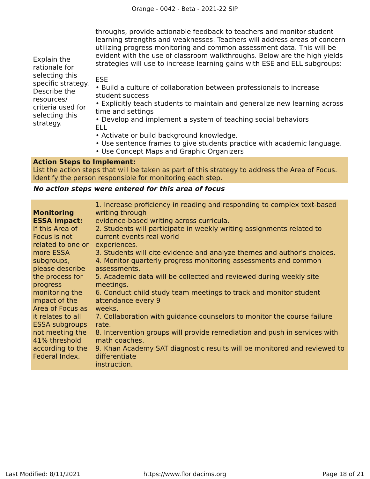throughs, provide actionable feedback to teachers and monitor student learning strengths and weaknesses. Teachers will address areas of concern utilizing progress monitoring and common assessment data. This will be evident with the use of classroom walkthroughs. Below are the high yields strategies will use to increase learning gains with ESE and ELL subgroups:

Explain the rationale for selecting this specific strategy. Describe the resources/ criteria used for selecting this strategy.

ESE

• Build a culture of collaboration between professionals to increase student success

• Explicitly teach students to maintain and generalize new learning across time and settings

• Develop and implement a system of teaching social behaviors ELL

- Activate or build background knowledge.
- Use sentence frames to give students practice with academic language.
- Use Concept Maps and Graphic Organizers

### **Action Steps to Implement:**

List the action steps that will be taken as part of this strategy to address the Area of Focus. Identify the person responsible for monitoring each step.

### **No action steps were entered for this area of focus**

| <b>Monitoring</b><br><b>ESSA Impact:</b><br>If this Area of<br>Focus is not<br>related to one or<br>more ESSA | 1. Increase proficiency in reading and responding to complex text-based<br>writing through<br>evidence-based writing across curricula.<br>2. Students will participate in weekly writing assignments related to<br>current events real world<br>experiences.<br>3. Students will cite evidence and analyze themes and author's choices. |
|---------------------------------------------------------------------------------------------------------------|-----------------------------------------------------------------------------------------------------------------------------------------------------------------------------------------------------------------------------------------------------------------------------------------------------------------------------------------|
| subgroups,                                                                                                    | 4. Monitor quarterly progress monitoring assessments and common                                                                                                                                                                                                                                                                         |
| please describe                                                                                               | assessments.                                                                                                                                                                                                                                                                                                                            |
| the process for                                                                                               | 5. Academic data will be collected and reviewed during weekly site                                                                                                                                                                                                                                                                      |
| progress                                                                                                      | meetings.                                                                                                                                                                                                                                                                                                                               |
| monitoring the                                                                                                | 6. Conduct child study team meetings to track and monitor student                                                                                                                                                                                                                                                                       |
| impact of the                                                                                                 | attendance every 9                                                                                                                                                                                                                                                                                                                      |
| Area of Focus as                                                                                              | weeks.                                                                                                                                                                                                                                                                                                                                  |
| it relates to all                                                                                             | 7. Collaboration with guidance counselors to monitor the course failure                                                                                                                                                                                                                                                                 |
| <b>ESSA subgroups</b>                                                                                         | rate.                                                                                                                                                                                                                                                                                                                                   |
| not meeting the                                                                                               | 8. Intervention groups will provide remediation and push in services with                                                                                                                                                                                                                                                               |
| 41% threshold                                                                                                 | math coaches.                                                                                                                                                                                                                                                                                                                           |
| according to the<br>Federal Index.                                                                            | 9. Khan Academy SAT diagnostic results will be monitored and reviewed to<br>differentiate<br>instruction.                                                                                                                                                                                                                               |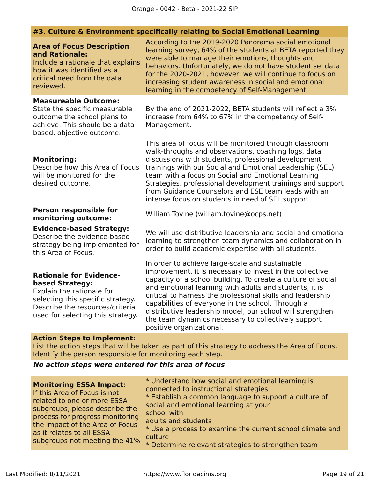# **#3. Culture & Environment specifically relating to Social Emotional Learning**

| <b>Area of Focus Description</b><br>and Rationale:<br>Include a rationale that explains<br>how it was identified as a<br>critical need from the data<br>reviewed.                           | According to the 2019-2020 Panorama social emotional<br>learning survey, 64% of the students at BETA reported they<br>were able to manage their emotions, thoughts and<br>behaviors. Unfortunately, we do not have student sel data<br>for the 2020-2021, however, we will continue to focus on<br>increasing student awareness in social and emotional<br>learning in the competency of Self-Management.                                                                                                |  |  |  |
|---------------------------------------------------------------------------------------------------------------------------------------------------------------------------------------------|----------------------------------------------------------------------------------------------------------------------------------------------------------------------------------------------------------------------------------------------------------------------------------------------------------------------------------------------------------------------------------------------------------------------------------------------------------------------------------------------------------|--|--|--|
| <b>Measureable Outcome:</b><br>State the specific measurable<br>outcome the school plans to<br>achieve. This should be a data<br>based, objective outcome.                                  | By the end of 2021-2022, BETA students will reflect a 3%<br>increase from 64% to 67% in the competency of Self-<br>Management.                                                                                                                                                                                                                                                                                                                                                                           |  |  |  |
| <b>Monitoring:</b><br>Describe how this Area of Focus<br>will be monitored for the<br>desired outcome.                                                                                      | This area of focus will be monitored through classroom<br>walk-throughs and observations, coaching logs, data<br>discussions with students, professional development<br>trainings with our Social and Emotional Leadership (SEL)<br>team with a focus on Social and Emotional Learning<br>Strategies, professional development trainings and support<br>from Guidance Counselors and ESE team leads with an<br>intense focus on students in need of SEL support                                          |  |  |  |
| <b>Person responsible for</b><br>monitoring outcome:                                                                                                                                        | William Tovine (william.tovine@ocps.net)                                                                                                                                                                                                                                                                                                                                                                                                                                                                 |  |  |  |
| <b>Evidence-based Strategy:</b><br>Describe the evidence-based<br>strategy being implemented for<br>this Area of Focus.                                                                     | We will use distributive leadership and social and emotional<br>learning to strengthen team dynamics and collaboration in<br>order to build academic expertise with all students.                                                                                                                                                                                                                                                                                                                        |  |  |  |
| <b>Rationale for Evidence-</b><br>based Strategy:<br>Explain the rationale for<br>selecting this specific strategy.<br>Describe the resources/criteria<br>used for selecting this strategy. | In order to achieve large-scale and sustainable<br>improvement, it is necessary to invest in the collective<br>capacity of a school building. To create a culture of social<br>and emotional learning with adults and students, it is<br>critical to harness the professional skills and leadership<br>capabilities of everyone in the school. Through a<br>distributive leadership model, our school will strengthen<br>the team dynamics necessary to collectively support<br>positive organizational. |  |  |  |
| <b>Action Steps to Implement:</b>                                                                                                                                                           | List the action steps that will be taken as part of this strategy to address the Area of Focus.                                                                                                                                                                                                                                                                                                                                                                                                          |  |  |  |
| Identify the person responsible for monitoring each step.<br>No action stans were entered for this area of focus                                                                            |                                                                                                                                                                                                                                                                                                                                                                                                                                                                                                          |  |  |  |

# **Non steps were entered for this are**

| <b>Monitoring ESSA Impact:</b><br>If this Area of Focus is not<br>related to one or more ESSA<br>subgroups, please describe the<br>process for progress monitoring<br>the impact of the Area of Focus<br>as it relates to all ESSA<br>subgroups not meeting the 41% | * Understand how social and emotional learning is<br>connected to instructional strategies<br>* Establish a common language to support a culture of<br>social and emotional learning at your<br>school with<br>adults and students<br>* Use a process to examine the current school climate and<br>culture<br>* Determine relevant strategies to strengthen team |
|---------------------------------------------------------------------------------------------------------------------------------------------------------------------------------------------------------------------------------------------------------------------|------------------------------------------------------------------------------------------------------------------------------------------------------------------------------------------------------------------------------------------------------------------------------------------------------------------------------------------------------------------|
|---------------------------------------------------------------------------------------------------------------------------------------------------------------------------------------------------------------------------------------------------------------------|------------------------------------------------------------------------------------------------------------------------------------------------------------------------------------------------------------------------------------------------------------------------------------------------------------------------------------------------------------------|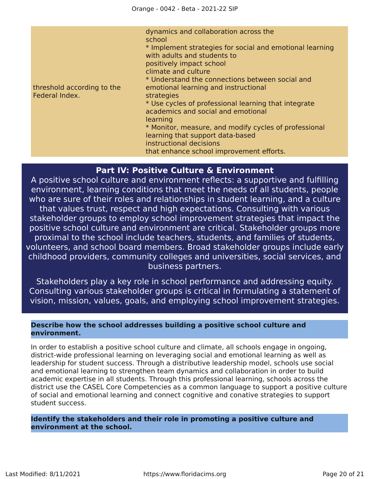| threshold according to the<br>Federal Index. | dynamics and collaboration across the<br>school<br>* Implement strategies for social and emotional learning<br>with adults and students to<br>positively impact school<br>climate and culture<br>* Understand the connections between social and<br>emotional learning and instructional<br>strategies<br>* Use cycles of professional learning that integrate<br>academics and social and emotional<br>learning<br>* Monitor, measure, and modify cycles of professional<br>learning that support data-based<br>instructional decisions<br>that enhance school improvement efforts. |
|----------------------------------------------|--------------------------------------------------------------------------------------------------------------------------------------------------------------------------------------------------------------------------------------------------------------------------------------------------------------------------------------------------------------------------------------------------------------------------------------------------------------------------------------------------------------------------------------------------------------------------------------|
|                                              |                                                                                                                                                                                                                                                                                                                                                                                                                                                                                                                                                                                      |

# **Part IV: Positive Culture & Environment**

<span id="page-19-0"></span>A positive school culture and environment reflects: a supportive and fulfilling environment, learning conditions that meet the needs of all students, people who are sure of their roles and relationships in student learning, and a culture that values trust, respect and high expectations. Consulting with various stakeholder groups to employ school improvement strategies that impact the positive school culture and environment are critical. Stakeholder groups more proximal to the school include teachers, students, and families of students, volunteers, and school board members. Broad stakeholder groups include early childhood providers, community colleges and universities, social services, and business partners.

Stakeholders play a key role in school performance and addressing equity. Consulting various stakeholder groups is critical in formulating a statement of vision, mission, values, goals, and employing school improvement strategies.

### **Describe how the school addresses building a positive school culture and environment.**

In order to establish a positive school culture and climate, all schools engage in ongoing, district-wide professional learning on leveraging social and emotional learning as well as leadership for student success. Through a distributive leadership model, schools use social and emotional learning to strengthen team dynamics and collaboration in order to build academic expertise in all students. Through this professional learning, schools across the district use the CASEL Core Competencies as a common language to support a positive culture of social and emotional learning and connect cognitive and conative strategies to support student success.

**Identify the stakeholders and their role in promoting a positive culture and environment at the school.**